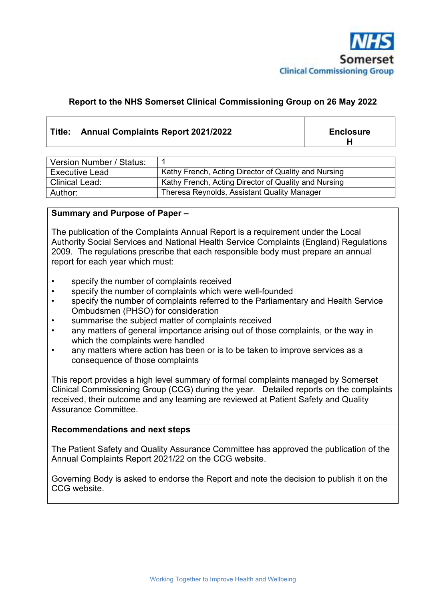

#### **Report to the NHS Somerset Clinical Commissioning Group on 26 May 2022**

#### **Title: Annual Complaints Report 2021/2022 Enclosure**

**H**

| Version Number / Status: |                                                      |
|--------------------------|------------------------------------------------------|
| <b>Executive Lead</b>    | Kathy French, Acting Director of Quality and Nursing |
| <b>Clinical Lead:</b>    | Kathy French, Acting Director of Quality and Nursing |
| Author:                  | Theresa Reynolds, Assistant Quality Manager          |

#### **Summary and Purpose of Paper –**

The publication of the Complaints Annual Report is a requirement under the Local Authority Social Services and National Health Service Complaints (England) Regulations 2009. The regulations prescribe that each responsible body must prepare an annual report for each year which must:

- specify the number of complaints received
- specify the number of complaints which were well-founded
- specify the number of complaints referred to the Parliamentary and Health Service Ombudsmen (PHSO) for consideration
- summarise the subject matter of complaints received
- any matters of general importance arising out of those complaints, or the way in which the complaints were handled
- any matters where action has been or is to be taken to improve services as a consequence of those complaints

This report provides a high level summary of formal complaints managed by Somerset Clinical Commissioning Group (CCG) during the year. Detailed reports on the complaints received, their outcome and any learning are reviewed at Patient Safety and Quality Assurance Committee.

#### **Recommendations and next steps**

The Patient Safety and Quality Assurance Committee has approved the publication of the Annual Complaints Report 2021/22 on the CCG website.

Governing Body is asked to endorse the Report and note the decision to publish it on the CCG website.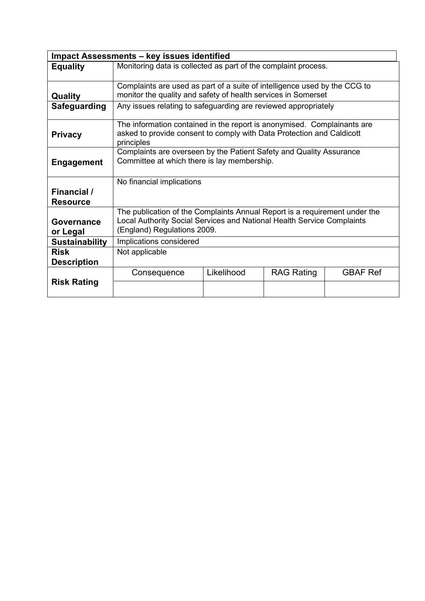| <b>Impact Assessments - key issues identified</b> |                                                                                                                                                                                     |            |                   |                 |  |
|---------------------------------------------------|-------------------------------------------------------------------------------------------------------------------------------------------------------------------------------------|------------|-------------------|-----------------|--|
| <b>Equality</b>                                   | Monitoring data is collected as part of the complaint process.                                                                                                                      |            |                   |                 |  |
| <b>Quality</b>                                    | Complaints are used as part of a suite of intelligence used by the CCG to<br>monitor the quality and safety of health services in Somerset                                          |            |                   |                 |  |
| <b>Safeguarding</b>                               | Any issues relating to safeguarding are reviewed appropriately                                                                                                                      |            |                   |                 |  |
| <b>Privacy</b>                                    | The information contained in the report is anonymised. Complainants are<br>asked to provide consent to comply with Data Protection and Caldicott<br>principles                      |            |                   |                 |  |
| <b>Engagement</b>                                 | Complaints are overseen by the Patient Safety and Quality Assurance<br>Committee at which there is lay membership.                                                                  |            |                   |                 |  |
|                                                   | No financial implications                                                                                                                                                           |            |                   |                 |  |
| Financial /                                       |                                                                                                                                                                                     |            |                   |                 |  |
| <b>Resource</b>                                   |                                                                                                                                                                                     |            |                   |                 |  |
| Governance<br>or Legal                            | The publication of the Complaints Annual Report is a requirement under the<br>Local Authority Social Services and National Health Service Complaints<br>(England) Regulations 2009. |            |                   |                 |  |
| <b>Sustainability</b>                             | Implications considered                                                                                                                                                             |            |                   |                 |  |
| <b>Risk</b><br><b>Description</b>                 | Not applicable                                                                                                                                                                      |            |                   |                 |  |
|                                                   | Consequence                                                                                                                                                                         | Likelihood | <b>RAG Rating</b> | <b>GBAF Ref</b> |  |
| <b>Risk Rating</b>                                |                                                                                                                                                                                     |            |                   |                 |  |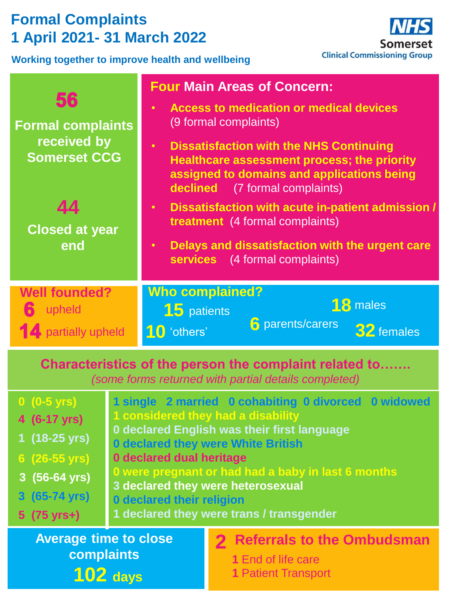# **Formal Complaints 1 April 2021- 31 March 2022**

**Working together to improve health and wellbeing**



| 56<br><b>Formal complaints</b><br>received by<br><b>Somerset CCG</b><br>44<br><b>Closed at year</b><br>end     | <b>Four Main Areas of Concern:</b><br><b>Access to medication or medical devices</b><br>$\bullet$<br>(9 formal complaints)<br><b>Dissatisfaction with the NHS Continuing</b><br>Healthcare assessment process; the priority<br>assigned to domains and applications being<br><b>declined</b> (7 formal complaints)<br>Dissatisfaction with acute in-patient admission /<br>$\bullet$<br>treatment (4 formal complaints)<br>Delays and dissatisfaction with the urgent care<br>$\bullet$<br>services (4 formal complaints) |  |  |  |
|----------------------------------------------------------------------------------------------------------------|---------------------------------------------------------------------------------------------------------------------------------------------------------------------------------------------------------------------------------------------------------------------------------------------------------------------------------------------------------------------------------------------------------------------------------------------------------------------------------------------------------------------------|--|--|--|
| <b>Well founded?</b><br>upheld<br><b>14</b> partially upheld                                                   | <b>Who complained?</b><br>18 males<br><b>15</b> patients<br><b>6</b> parents/carers<br>32 females<br>10 'others'                                                                                                                                                                                                                                                                                                                                                                                                          |  |  |  |
| Characteristics of the person the complaint related to<br>(some forms returned with partial details completed) |                                                                                                                                                                                                                                                                                                                                                                                                                                                                                                                           |  |  |  |

| $0(0-5 \text{ yrs})$<br>$4(6-17 \text{ yrs})$<br>1 (18-25 yrs)<br>$6(26-55 \text{ yrs})$<br>$3(56-64 \text{ yrs})$<br>3 (65-74 yrs)<br>$5(75 \text{ yrs+})$ | 1 considered they had a disability<br>0 declared dual heritage<br><b>0 declared their religion</b> | 1 single 2 married 0 cohabiting 0 divorced 0 widowed<br>0 declared English was their first language<br><b>0 declared they were White British</b><br>0 were pregnant or had had a baby in last 6 months<br>3 declared they were heterosexual<br>1 declared they were trans / transgender |
|-------------------------------------------------------------------------------------------------------------------------------------------------------------|----------------------------------------------------------------------------------------------------|-----------------------------------------------------------------------------------------------------------------------------------------------------------------------------------------------------------------------------------------------------------------------------------------|
| <b>Average time to close</b>                                                                                                                                |                                                                                                    | 2 Referrals to the Ombudsman                                                                                                                                                                                                                                                            |
| complaints                                                                                                                                                  |                                                                                                    | 1 End of life care                                                                                                                                                                                                                                                                      |
| $102$ days                                                                                                                                                  |                                                                                                    | <b>1 Patient Transport</b>                                                                                                                                                                                                                                                              |